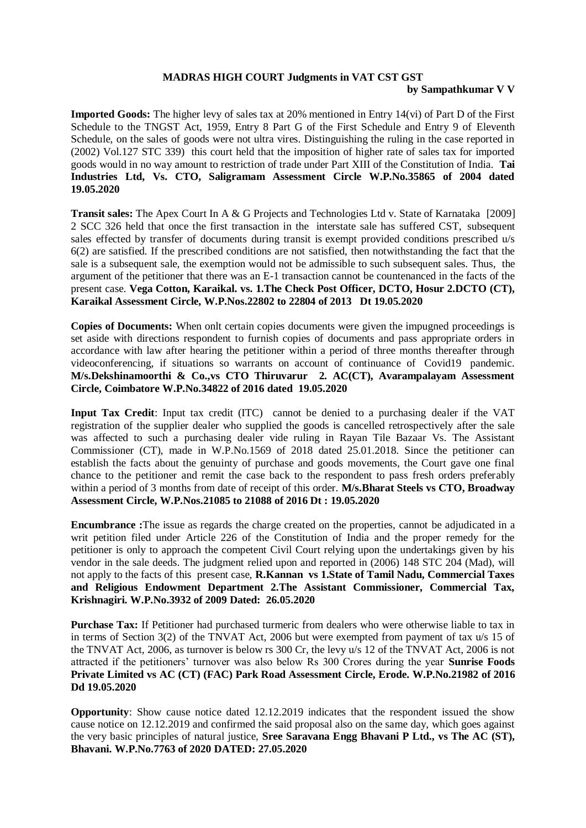## **MADRAS HIGH COURT Judgments in VAT CST GST by Sampathkumar V V**

**Imported Goods:** The higher levy of sales tax at 20% mentioned in Entry 14(vi) of Part D of the First Schedule to the TNGST Act, 1959, Entry 8 Part G of the First Schedule and Entry 9 of Eleventh Schedule, on the sales of goods were not ultra vires. Distinguishing the ruling in the case reported in (2002) Vol.127 STC 339) this court held that the imposition of higher rate of sales tax for imported goods would in no way amount to restriction of trade under Part XIII of the Constitution of India. **Tai Industries Ltd, Vs. CTO, Saligramam Assessment Circle W.P.No.35865 of 2004 dated 19.05.2020**

**Transit sales:** The Apex Court In A & G Projects and Technologies Ltd v. State of Karnataka [2009] 2 SCC 326 held that once the first transaction in the interstate sale has suffered CST, subsequent sales effected by transfer of documents during transit is exempt provided conditions prescribed u/s 6(2) are satisfied. If the prescribed conditions are not satisfied, then notwithstanding the fact that the sale is a subsequent sale, the exemption would not be admissible to such subsequent sales. Thus, the argument of the petitioner that there was an E-1 transaction cannot be countenanced in the facts of the present case. **Vega Cotton, Karaikal. vs. 1.The Check Post Officer, DCTO, Hosur 2.DCTO (CT), Karaikal Assessment Circle, W.P.Nos.22802 to 22804 of 2013 Dt 19.05.2020** 

**Copies of Documents:** When onlt certain copies documents were given the impugned proceedings is set aside with directions respondent to furnish copies of documents and pass appropriate orders in accordance with law after hearing the petitioner within a period of three months thereafter through videoconferencing, if situations so warrants on account of continuance of Covid19 pandemic. **M/s.Dekshinamoorthi & Co.,vs CTO Thiruvarur 2. AC(CT), Avarampalayam Assessment Circle, Coimbatore W.P.No.34822 of 2016 dated 19.05.2020** 

**Input Tax Credit**: Input tax credit (ITC) cannot be denied to a purchasing dealer if the VAT registration of the supplier dealer who supplied the goods is cancelled retrospectively after the sale was affected to such a purchasing dealer vide ruling in Rayan Tile Bazaar Vs. The Assistant Commissioner (CT), made in W.P.No.1569 of 2018 dated 25.01.2018. Since the petitioner can establish the facts about the genuinty of purchase and goods movements, the Court gave one final chance to the petitioner and remit the case back to the respondent to pass fresh orders preferably within a period of 3 months from date of receipt of this order. **M/s.Bharat Steels vs CTO, Broadway Assessment Circle, W.P.Nos.21085 to 21088 of 2016 Dt : 19.05.2020** 

**Encumbrance :**The issue as regards the charge created on the properties, cannot be adjudicated in a writ petition filed under Article 226 of the Constitution of India and the proper remedy for the petitioner is only to approach the competent Civil Court relying upon the undertakings given by his vendor in the sale deeds. The judgment relied upon and reported in (2006) 148 STC 204 (Mad), will not apply to the facts of this present case, **R.Kannan vs 1.State of Tamil Nadu, Commercial Taxes and Religious Endowment Department 2.The Assistant Commissioner, Commercial Tax, Krishnagiri. W.P.No.3932 of 2009 Dated: 26.05.2020** 

**Purchase Tax:** If Petitioner had purchased turmeric from dealers who were otherwise liable to tax in in terms of Section 3(2) of the TNVAT Act, 2006 but were exempted from payment of tax u/s 15 of the TNVAT Act, 2006, as turnover is below rs 300 Cr, the levy u/s 12 of the TNVAT Act, 2006 is not attracted if the petitioners' turnover was also below Rs 300 Crores during the year **Sunrise Foods Private Limited vs AC (CT) (FAC) Park Road Assessment Circle, Erode. W.P.No.21982 of 2016 Dd 19.05.2020** 

**Opportunity**: Show cause notice dated 12.12.2019 indicates that the respondent issued the show cause notice on 12.12.2019 and confirmed the said proposal also on the same day, which goes against the very basic principles of natural justice, **Sree Saravana Engg Bhavani P Ltd., vs The AC (ST), Bhavani. W.P.No.7763 of 2020 DATED: 27.05.2020**